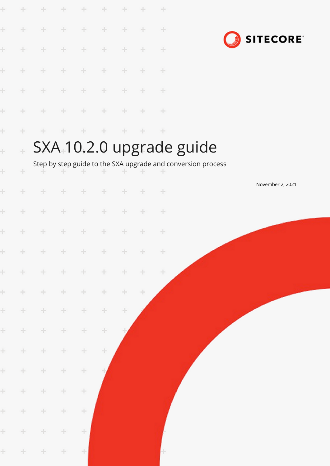|           | ÷      |               |       | ÷      |        |        |       | ÷             |                                                              |
|-----------|--------|---------------|-------|--------|--------|--------|-------|---------------|--------------------------------------------------------------|
| ÷         | ÷      | ÷             | ÷     | ÷      | ÷      | ÷      | ÷     | ÷             | <b>SITECORE</b>                                              |
| ÷         | ÷.     | ÷             | ÷     | ÷      | ÷      | ÷      | ÷     | ÷             |                                                              |
| ÷         | $\pm$  | $+$           | ÷     | ÷      | ÷      | ÷      | ÷     | ÷             |                                                              |
| ÷         | ÷.     | $+$           | ÷     | ÷      | $\div$ | ÷      | ÷     | $\div$        |                                                              |
| ÷         | ÷      | ÷             | ÷     | ÷      | ÷      | ÷      | ÷     | ÷             |                                                              |
| ÷         | ÷.     | ÷             | ÷     | ÷      | ÷      | ÷      | ÷     | $\pm$         |                                                              |
| $\ddot{}$ | ÷      |               |       |        |        |        |       |               | SXA <sub>+10.2.0</sub> upgrade guide                         |
| ł         | ÷      |               |       |        |        |        |       |               | Step by step guide to the SXA upgrade and conversion process |
| ÷         | $+$    | ÷             | ÷     | ÷      | ÷      | ÷      | ÷     | $\div$        | November 2, 2021                                             |
| ÷         | ÷      | ÷             | ÷     | $\div$ | ÷      | ÷      | ÷     | ÷             |                                                              |
|           |        |               |       |        |        |        |       |               |                                                              |
| ÷         | ÷      | ÷             | ÷     | ÷      | ÷      | ÷      | ÷     | ÷             |                                                              |
| ÷.        |        | * * * * * * * |       |        |        |        |       | $\rightarrow$ |                                                              |
| ÷.        | $\div$ | ÷             | ÷     | $\pm$  | ÷      | ÷.     | ÷.    | $\pm$         |                                                              |
| ÷.        | $\pm$  | ÷             | ÷     | $\div$ | $\div$ | $\pm$  | $\pm$ |               |                                                              |
| ÷.        | $\pm$  | $\div$        | $\pm$ | $\div$ | $\div$ | $\div$ |       |               |                                                              |
| ÷.        | ÷      | $\div$        | ÷.    | $\div$ | $\div$ |        |       |               |                                                              |
| $\pm$     | $\pm$  | $\div$        | $\pm$ | $\div$ | ÷      |        |       |               |                                                              |
| $\pm$     | ÷      | $\div$        | ÷     | $\div$ |        |        |       |               |                                                              |
| $\pm$     | $\div$ | $\div$        | ÷     | $\div$ |        |        |       |               |                                                              |
| $\pm$     | $\pm$  | $\div$        | ÷.    | $\div$ |        |        |       |               |                                                              |
| ÷.        | $\pm$  | ÷             | $\pm$ | $\div$ |        |        |       |               |                                                              |
| $\pm$     | $\pm$  | $\div$        | $\pm$ | $\pm$  |        |        |       |               |                                                              |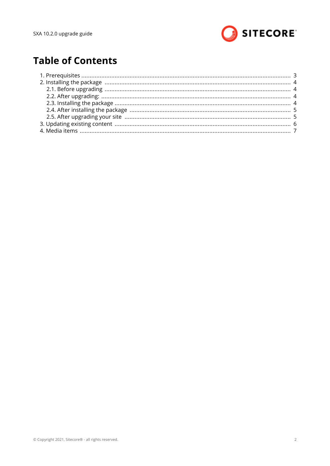

# **Table of Contents**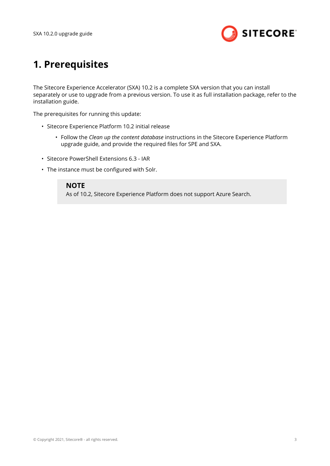

# <span id="page-2-0"></span>**1. Prerequisites**

The Sitecore Experience Accelerator (SXA) 10.2 is a complete SXA version that you can install separately or use to upgrade from a previous version. To use it as full installation package, refer to the installation guide.

The prerequisites for running this update:

- Sitecore Experience Platform 10.2 initial release
	- Follow the *Clean up the content database* instructions in the Sitecore Experience Platform upgrade guide, and provide the required files for SPE and SXA.
- Sitecore PowerShell Extensions 6.3 IAR
- The instance must be configured with Solr.

#### **NOTE**

As of 10.2, Sitecore Experience Platform does not support Azure Search.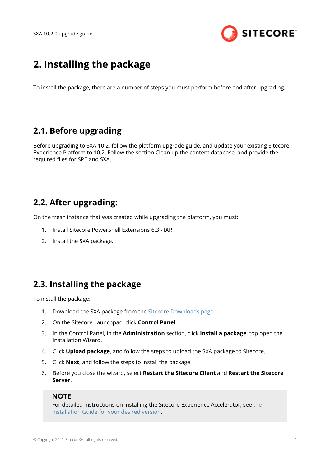

# <span id="page-3-0"></span>**2. Installing the package**

To install the package, there are a number of steps you must perform before and after upgrading.

## **2.1. Before upgrading**

Before upgrading to SXA 10.2, follow the platform upgrade guide, and update your existing Sitecore Experience Platform to 10.2. Follow the section Clean up the content database, and provide the required files for SPE and SXA.

## **2.2. After upgrading:**

On the fresh instance that was created while upgrading the platform, you must:

- 1. Install Sitecore PowerShell Extensions 6.3 IAR
- 2. Install the SXA package.

## **2.3. Installing the package**

To install the package:

- 1. Download the SXA package from the [Sitecore Downloads page](https://dev.sitecore.net/).
- 2. On the Sitecore Launchpad, click **Control Panel**.
- 3. In the Control Panel, in the **Administration** section, click **Install a package**, top open the Installation Wizard.
- 4. Click **Upload package**, and follow the steps to upload the SXA package to Sitecore.
- 5. Click **Next**, and follow the steps to install the package.
- 6. Before you close the wizard, select **Restart the Sitecore Client** and **Restart the Sitecore Server**.

#### **NOTE**

For detailed instructions on installing the Sitecore Experience Accelerator, see [the](https://dev.sitecore.net/Downloads/Sitecore_Experience_Accelerator.aspx) [Installation Guide for your desired version](https://dev.sitecore.net/Downloads/Sitecore_Experience_Accelerator.aspx).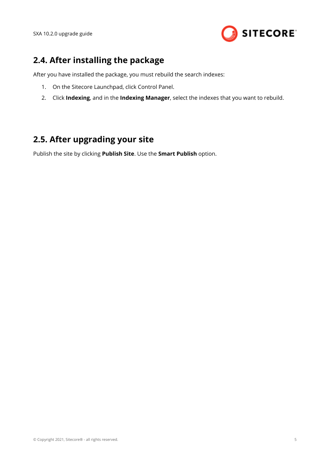

## <span id="page-4-0"></span>**2.4. After installing the package**

After you have installed the package, you must rebuild the search indexes:

- 1. On the Sitecore Launchpad, click Control Panel.
- 2. Click **Indexing**, and in the **Indexing Manager**, select the indexes that you want to rebuild.

## **2.5. After upgrading your site**

Publish the site by clicking **Publish Site**. Use the **Smart Publish** option.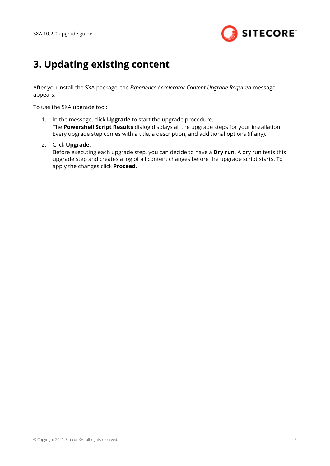

# <span id="page-5-0"></span>**3. Updating existing content**

After you install the SXA package, the *Experience Accelerator Content Upgrade Required* message appears.

To use the SXA upgrade tool:

- 1. In the message, click **Upgrade** to start the upgrade procedure. The **Powershell Script Results** dialog displays all the upgrade steps for your installation. Every upgrade step comes with a title, a description, and additional options (if any).
- 2. Click **Upgrade**.

Before executing each upgrade step, you can decide to have a **Dry run**. A dry run tests this upgrade step and creates a log of all content changes before the upgrade script starts. To apply the changes click **Proceed**.